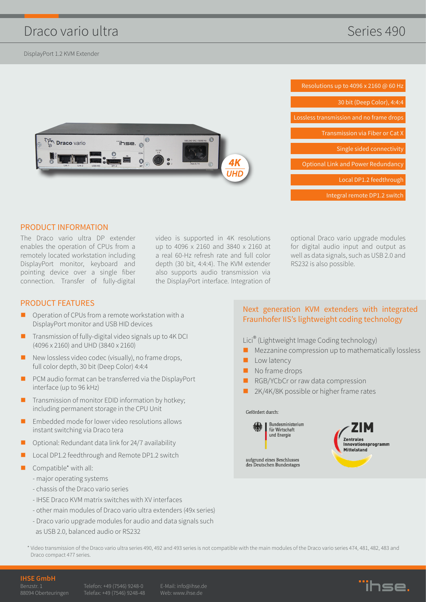# Draco vario ultra

DisplayPort 1.2 KVM Extender





#### PRODUCT INFORMATION

The Draco vario ultra DP extender enables the operation of CPUs from a remotely located workstation including DisplayPort monitor, keyboard and pointing device over a single fiber connection. Transfer of fully-digital

video is supported in 4K resolutions up to 4096 x 2160 and 3840 x 2160 at a real 60-Hz refresh rate and full color depth (30 bit, 4:4:4). The KVM extender also supports audio transmission via the DisplayPort interface. Integration of

optional Draco vario upgrade modules for digital audio input and output as well as data signals, such as USB 2.0 and RS232 is also possible.

#### PRODUCT FEATURES

- Operation of CPUs from a remote workstation with a DisplayPort monitor and USB HID devices
- Transmission of fully-digital video signals up to 4K DCI (4096 x 2160) and UHD (3840 x 2160)
- New lossless video codec (visually), no frame drops, full color depth, 30 bit (Deep Color) 4:4:4
- **PCM** audio format can be transferred via the DisplayPort interface (up to 96 kHz)
- $\blacksquare$  Transmission of monitor EDID information by hotkey; including permanent storage in the CPU Unit
- **Embedded mode for lower video resolutions allows** instant switching via Draco tera
- Optional: Redundant data link for 24/7 availability
- Local DP1.2 feedthrough and Remote DP1.2 switch
- Compatible\* with all:
	- major operating systems
	- chassis of the Draco vario series
	- IHSE Draco KVM matrix switches with XV interfaces
	- other main modules of Draco vario ultra extenders (49x series)
	- Draco vario upgrade modules for audio and data signals such
	- as USB 2.0, balanced audio or RS232

### Next generation KVM extenders with integrated Fraunhofer IIS's lightweight coding technology

Lici® (Lightweight Image Coding technology)

- $\blacksquare$  Mezzanine compression up to mathematically lossless
- Low latency
- No frame drops
- RGB/YCbCr or raw data compression
- 2K/4K/8K possible or higher frame rates

Gefördert durch:

**Bundesministerium** Für Wirtschaft und Energie

aufgrund eines Beschlusses des Deutschen Bundestages

Innovationsprogramm Mittelstand

\* Video transmission of the Draco vario ultra series 490, 492 and 493 series is not compatible with the main modules of the Draco vario series 474, 481, 482, 483 and Draco compact 477 series.

#### **IHSE GmbH**

Benzstr. 1

Telefon: +49 (7546) 9248-0

Web: www.ihse.de